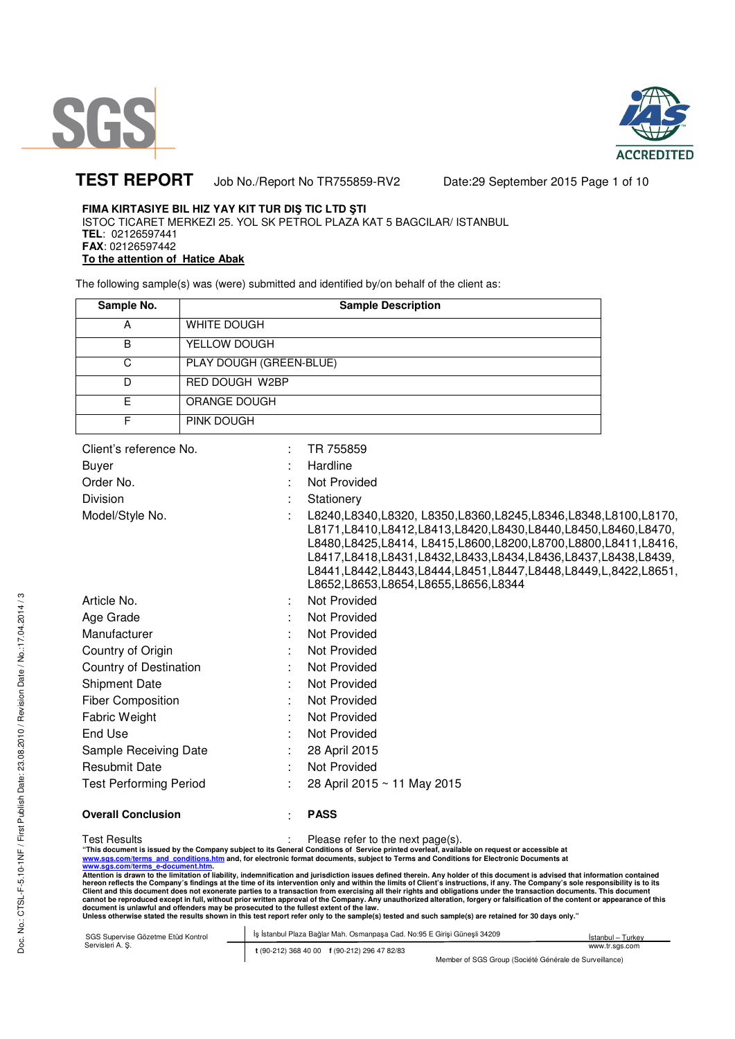



# **TEST REPORT** Job No./Report No TR755859-RV2 Date:29 September 2015 Page 1 of 10

## **FIMA KIRTASIYE BIL HIZ YAY KIT TUR DIŞ TIC LTD ŞTI**

ISTOC TICARET MERKEZI 25. YOL SK PETROL PLAZA KAT 5 BAGCILAR/ ISTANBUL **TEL**: 02126597441 **FAX**: 02126597442 **To the attention of Hatice Abak** 

The following sample(s) was (were) submitted and identified by/on behalf of the client as:

| Sample No. | <b>Sample Description</b> |  |  |  |
|------------|---------------------------|--|--|--|
| А          | WHITE DOUGH               |  |  |  |
| В          | YELLOW DOUGH              |  |  |  |
| C          | PLAY DOUGH (GREEN-BLUE)   |  |  |  |
| D          | <b>RED DOUGH W2BP</b>     |  |  |  |
| F          | ORANGE DOUGH              |  |  |  |
|            | <b>PINK DOUGH</b>         |  |  |  |

| Client's reference No.        | TR 755859                                                                                                                                                                                                                                                                                                                                                                                     |
|-------------------------------|-----------------------------------------------------------------------------------------------------------------------------------------------------------------------------------------------------------------------------------------------------------------------------------------------------------------------------------------------------------------------------------------------|
| <b>Buyer</b>                  | Hardline                                                                                                                                                                                                                                                                                                                                                                                      |
| Order No.                     | Not Provided                                                                                                                                                                                                                                                                                                                                                                                  |
| <b>Division</b>               | Stationery                                                                                                                                                                                                                                                                                                                                                                                    |
| Model/Style No.               | L8240, L8340, L8320, L8350, L8360, L8245, L8346, L8348, L8100, L8170,<br>L8171,L8410,L8412,L8413,L8420,L8430,L8440,L8450,L8460,L8470,<br>L8480,L8425,L8414, L8415,L8600,L8200,L8700,L8800,L8411,L8416,<br>L8417,L8418,L8431,L8432,L8433,L8434,L8436,L8437,L8438,L8439,<br>L8441, L8442, L8443, L8444, L8451, L8447, L8448, L8449, L, 8422, L8651,<br>L8652, L8653, L8654, L8655, L8656, L8344 |
| Article No.                   | Not Provided                                                                                                                                                                                                                                                                                                                                                                                  |
| Age Grade                     | Not Provided                                                                                                                                                                                                                                                                                                                                                                                  |
| Manufacturer                  | Not Provided                                                                                                                                                                                                                                                                                                                                                                                  |
| Country of Origin             | Not Provided<br>÷                                                                                                                                                                                                                                                                                                                                                                             |
| Country of Destination        | Not Provided                                                                                                                                                                                                                                                                                                                                                                                  |
| <b>Shipment Date</b>          | Not Provided                                                                                                                                                                                                                                                                                                                                                                                  |
| <b>Fiber Composition</b>      | Not Provided                                                                                                                                                                                                                                                                                                                                                                                  |
| Fabric Weight                 | Not Provided                                                                                                                                                                                                                                                                                                                                                                                  |
| End Use                       | Not Provided                                                                                                                                                                                                                                                                                                                                                                                  |
| Sample Receiving Date         | 28 April 2015                                                                                                                                                                                                                                                                                                                                                                                 |
| <b>Resubmit Date</b>          | Not Provided                                                                                                                                                                                                                                                                                                                                                                                  |
| <b>Test Performing Period</b> | 28 April 2015 ~ 11 May 2015                                                                                                                                                                                                                                                                                                                                                                   |
|                               |                                                                                                                                                                                                                                                                                                                                                                                               |

**Overall Conclusion** : **PASS**

Doc. No.: CTSL-F-5.10-1NF / First Publish Date: 23.08.2010 / Revision Date / No.:17.04.2014 / 3

Doc. No.: CTSL-F-5.10-1NF / First Publish Date: 23.08.2010 / Revision Date / No.:17.04.2014 / 3

Test Results : Please refer to the next page(s).

"This document is issued by the Company subject to its General Conditions of Service printed overleaf, available on request or accessible at<br><u>www.sgs.com/terms and conditions.htm</u> and, for electronic format documents, s

Attention is drawn to the limitation of liability, indemnification and jurisdiction issues defined therein. Any holder of this document is advised that information contained<br>hereon reflects the Company's findings at the ti

| SGS Supervise Gözetme Etüd Kontrol | Is Istanbul Plaza Bağlar Mah. Osmanpasa Cad. No:95 E Girisi Günesli 34209 | Istanbul - Turkey                                      |
|------------------------------------|---------------------------------------------------------------------------|--------------------------------------------------------|
| Servisleri A. S.                   | t (90-212) 368 40 00 f (90-212) 296 47 82/83                              | www.tr.sas.com                                         |
|                                    |                                                                           | Member of SGS Group (Société Générale de Surveillance) |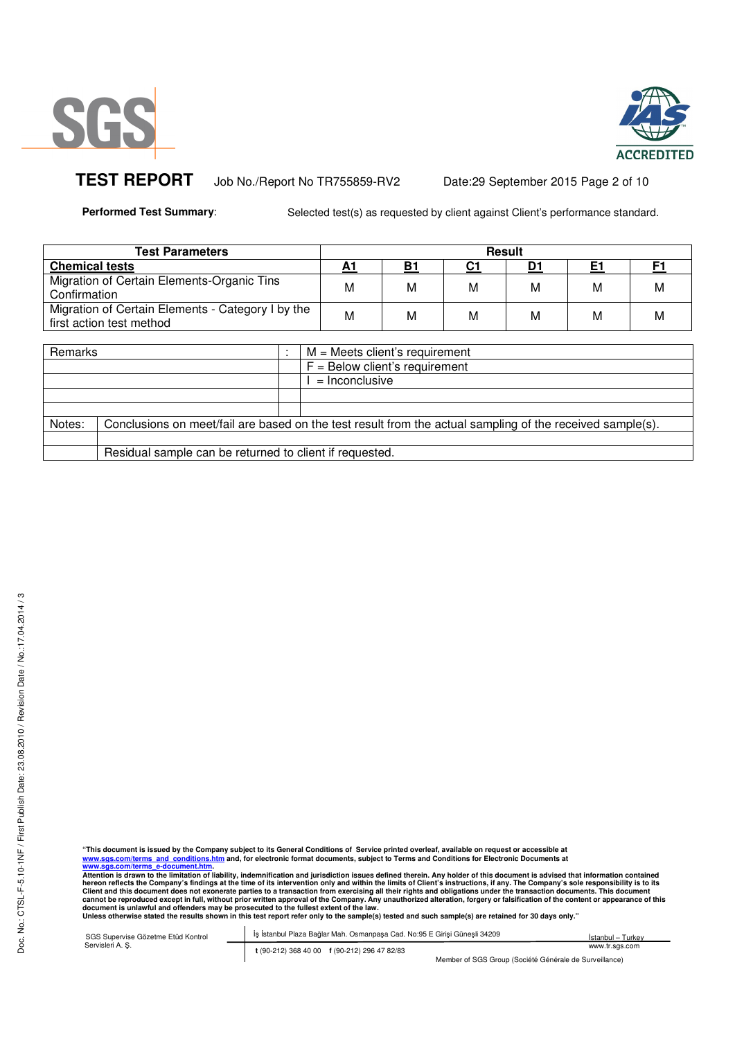



TEST REPORT Job No./Report No TR755859-RV2 Date:29 September 2015 Page 2 of 10

**Performed Test Summary:** Selected test(s) as requested by client against Client's performance standard.

| Test Parameters                                                               | <b>Result</b> |    |    |   |   |   |
|-------------------------------------------------------------------------------|---------------|----|----|---|---|---|
| <b>Chemical tests</b>                                                         |               | B1 | C1 |   |   |   |
| Migration of Certain Elements-Organic Tins<br>Confirmation                    | M             | М  | M  | М | М | M |
| Migration of Certain Elements - Category I by the<br>first action test method | M             | М  | M  | М | М | M |

| Remarks |                                                                                                           |  | $M =$ Meets client's requirement |  |  |  |
|---------|-----------------------------------------------------------------------------------------------------------|--|----------------------------------|--|--|--|
|         |                                                                                                           |  |                                  |  |  |  |
|         |                                                                                                           |  | $F =$ Below client's requirement |  |  |  |
|         |                                                                                                           |  | $=$ Inconclusive                 |  |  |  |
|         |                                                                                                           |  |                                  |  |  |  |
|         |                                                                                                           |  |                                  |  |  |  |
| Notes:  | Conclusions on meet/fail are based on the test result from the actual sampling of the received sample(s). |  |                                  |  |  |  |
|         |                                                                                                           |  |                                  |  |  |  |
|         | Residual sample can be returned to client if requested.                                                   |  |                                  |  |  |  |

"This document is issued by the Company subject to its General Conditions of Service printed overleaf, available on request or accessible at<br><u>www.sgs.com/terms and conditions.htm</u> and, for electronic format documents, s

Attention is drawn to the limitation of liability, indemnification and jurisdiction issues defined therein. Any holder of this document is advised that information contained<br>hereon reflects the Company's findings at the ti

| SGS Supervise Gözetme Etüd Kontrol | İs İstanbul Plaza Bağlar Mah. Osmanpasa Cad. No:95 E Girisi Günesli 34209 | Istanbul - Turkey |
|------------------------------------|---------------------------------------------------------------------------|-------------------|
| Servisleri A. S.                   | t (90-212) 368 40 00 f (90-212) 296 47 82/83                              | www.tr.sas.com    |
|                                    | Member of SGS Group (Société Générale de Surveillance)                    |                   |

Member of SGS Group (Société Générale de Surveillance)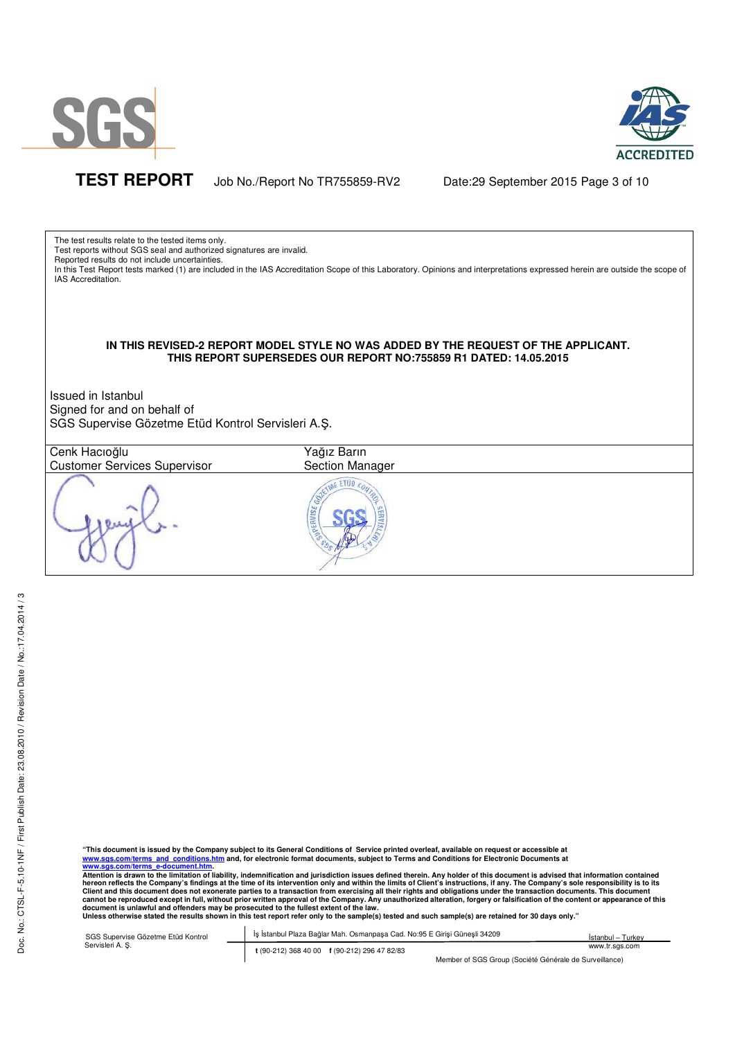

Doc. No.: CTSL-F-5.10-1NF / First Publish Date: 23.08.2010 / Revision Date / No.:17.04.2014 / 3

Doc. No.: CTSL-F-5.10-1NF / First Publish Date: 23.08.2010 / Revision Date / No.:17.04.2014 / 3



**TEST REPORT** Job No./Report No TR755859-RV2 Date:29 September 2015 Page 3 of 10

The test results relate to the tested items only.

Test reports without SGS seal and authorized signatures are invalid.

Reported results do not include uncertainties.

In this Test Report tests marked (1) are included in the IAS Accreditation Scope of this Laboratory. Opinions and interpretations expressed herein are outside the scope of IAS Accreditation.

### **IN THIS REVISED-2 REPORT MODEL STYLE NO WAS ADDED BY THE REQUEST OF THE APPLICANT. THIS REPORT SUPERSEDES OUR REPORT NO:755859 R1 DATED: 14.05.2015**

Issued in Istanbul Signed for and on behalf of SGS Supervise Gözetme Etüd Kontrol Servisleri A.Ş.

| Cenk Hacıoğlu<br><b>Customer Services Supervisor</b> | Yağız Barın<br>Section Manager |  |
|------------------------------------------------------|--------------------------------|--|
|                                                      | JPERVISE                       |  |

"This document is issued by the Company subject to its General Conditions of Service printed overleaf, available on request or accessible at<br><u>www.sgs.com/terms and conditions.htm</u> and, for electronic format documents, s

Attention is drawn to the limitation of liability, indemnification and jurisdiction issues defined therein. Any holder of this document is advised that information contained<br>hereon reflects the Company's findings at the ti Client and this document does not exonerate parties to a transaction from exercising all their rights and obligations under the transaction documents. This document<br>cannot be reproduced except in full, without prior writte

| SGS Supervise Gözetme Etüd Kontrol | İş İstanbul Plaza Bağlar Mah. Osmanpaşa Cad. No:95 E Girişi Güneşli 34209 | Istanbul – Turkev |
|------------------------------------|---------------------------------------------------------------------------|-------------------|
| Servisleri A. S.                   | t (90-212) 368 40 00 f (90-212) 296 47 82/83                              | www.tr.sgs.com    |
|                                    | Member of SGS Group (Société Générale de Surveillance)                    |                   |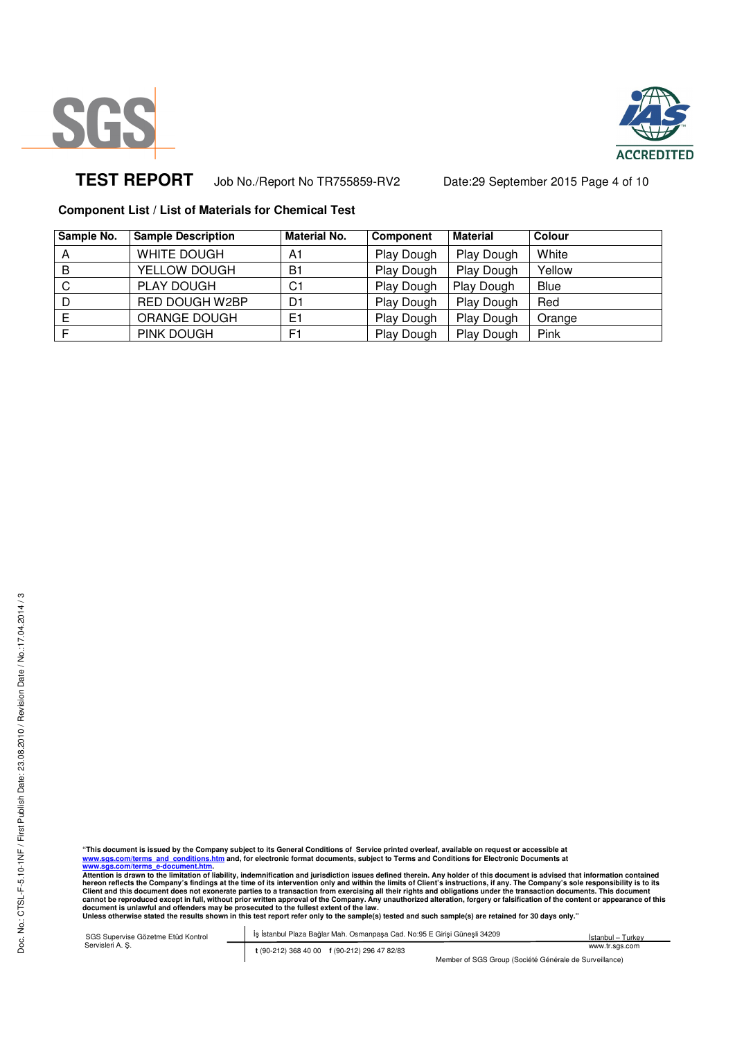



# **TEST REPORT** Job No./Report No TR755859-RV2 Date:29 September 2015 Page 4 of 10

### **Component List / List of Materials for Chemical Test**

| Sample No. | <b>Sample Description</b> | <b>Material No.</b> | <b>Component</b> | <b>Material</b> | <b>Colour</b> |
|------------|---------------------------|---------------------|------------------|-----------------|---------------|
| A          | WHITE DOUGH               | A1                  | Play Dough       | Play Dough      | White         |
| B          | YELLOW DOUGH              | B <sub>1</sub>      | Play Dough       | Play Dough      | Yellow        |
| C          | PLAY DOUGH                | C1                  | Play Dough       | Play Dough      | Blue          |
|            | RED DOUGH W2BP            | D1                  | Play Dough       | Play Dough      | Red           |
|            | ORANGE DOUGH              | E1                  | Play Dough       | Play Dough      | Orange        |
|            | PINK DOUGH                | F1                  | Play Dough       | Play Dough      | Pink          |

"This document is issued by the Company subject to its General Conditions of Service printed overleaf, available on request or accessible at<br><u>www.sgs.com/terms and conditions.htm</u> and, for electronic format documents, s

Attention is drawn to the limitation of liability, indemnification and jurisdiction issues defined therein. Any holder of this document is advised that information contained<br>hereon reflects the Company's findings at the ti

SGS Supervise Gözetme Etüd Kontrol Servisleri A. Ş. İş İstanbul Plaza Bağlar Mah. Osmanpaşa Cad. No:95 E Girişi Güneşli 34209 **t** (90-212) 368 40 00 **f** (90-212) 296 47 82/83 İstanbul – Turkey www.tr.sgs.com

Member of SGS Group (Société Générale de Surveillance)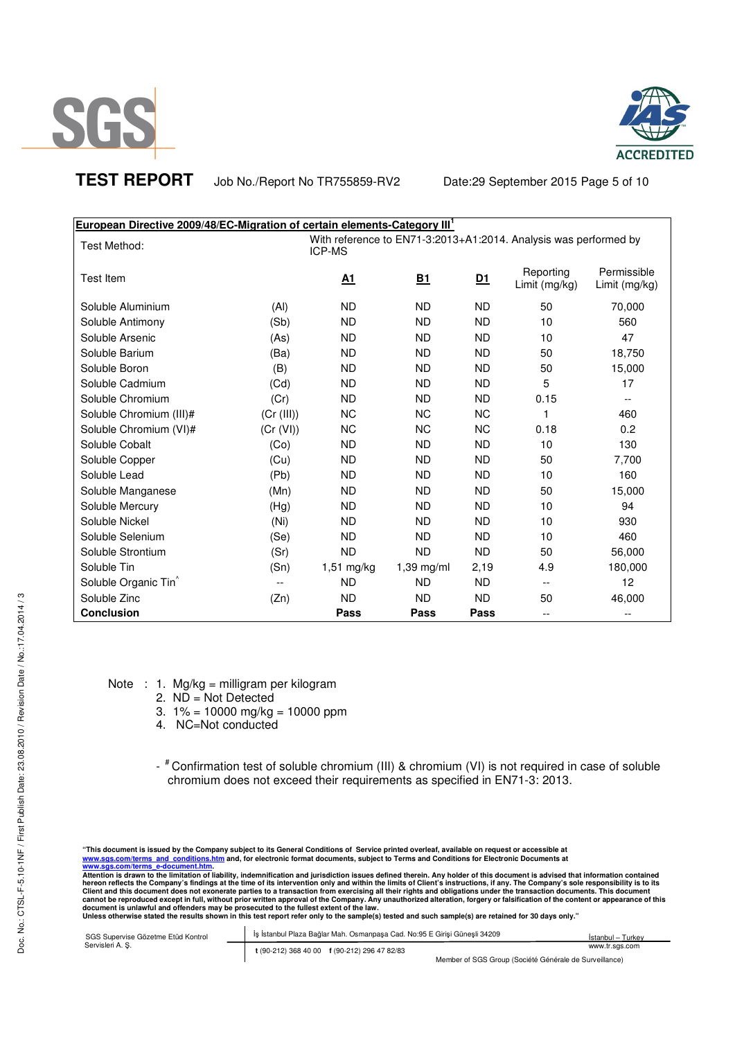



**TEST REPORT** Job No./Report No TR755859-RV2 Date:29 September 2015 Page 5 of 10

| European Directive 2009/48/EC-Migration of certain elements-Category III <sup>1</sup> |               |              |            |                                                                  |                            |                              |
|---------------------------------------------------------------------------------------|---------------|--------------|------------|------------------------------------------------------------------|----------------------------|------------------------------|
| Test Method:                                                                          | <b>ICP-MS</b> |              |            | With reference to EN71-3:2013+A1:2014. Analysis was performed by |                            |                              |
| Test Item                                                                             |               | <u>A1</u>    | <u>B1</u>  | <u>D1</u>                                                        | Reporting<br>Limit (mg/kg) | Permissible<br>Limit (mg/kg) |
| Soluble Aluminium                                                                     | (AI)          | <b>ND</b>    | <b>ND</b>  | <b>ND</b>                                                        | 50                         | 70,000                       |
| Soluble Antimony                                                                      | (Sb)          | <b>ND</b>    | <b>ND</b>  | <b>ND</b>                                                        | 10                         | 560                          |
| Soluble Arsenic                                                                       | (As)          | <b>ND</b>    | <b>ND</b>  | <b>ND</b>                                                        | 10                         | 47                           |
| Soluble Barium                                                                        | (Ba)          | <b>ND</b>    | <b>ND</b>  | <b>ND</b>                                                        | 50                         | 18,750                       |
| Soluble Boron                                                                         | (B)           | <b>ND</b>    | <b>ND</b>  | <b>ND</b>                                                        | 50                         | 15,000                       |
| Soluble Cadmium                                                                       | (Cd)          | <b>ND</b>    | <b>ND</b>  | <b>ND</b>                                                        | 5                          | 17                           |
| Soluble Chromium                                                                      | (Cr)          | <b>ND</b>    | <b>ND</b>  | <b>ND</b>                                                        | 0.15                       | $\overline{\phantom{a}}$     |
| Soluble Chromium (III)#                                                               | (Cr (III))    | <b>NC</b>    | <b>NC</b>  | <b>NC</b>                                                        | 1                          | 460                          |
| Soluble Chromium (VI)#                                                                | (Cr (VI))     | <b>NC</b>    | <b>NC</b>  | <b>NC</b>                                                        | 0.18                       | 0.2                          |
| Soluble Cobalt                                                                        | (Co)          | <b>ND</b>    | <b>ND</b>  | <b>ND</b>                                                        | 10                         | 130                          |
| Soluble Copper                                                                        | (Cu)          | <b>ND</b>    | <b>ND</b>  | <b>ND</b>                                                        | 50                         | 7,700                        |
| Soluble Lead                                                                          | (Pb)          | <b>ND</b>    | <b>ND</b>  | <b>ND</b>                                                        | 10                         | 160                          |
| Soluble Manganese                                                                     | (Mn)          | <b>ND</b>    | <b>ND</b>  | <b>ND</b>                                                        | 50                         | 15,000                       |
| Soluble Mercury                                                                       | (Hg)          | <b>ND</b>    | <b>ND</b>  | <b>ND</b>                                                        | 10                         | 94                           |
| Soluble Nickel                                                                        | (Ni)          | <b>ND</b>    | <b>ND</b>  | <b>ND</b>                                                        | 10                         | 930                          |
| Soluble Selenium                                                                      | (Se)          | <b>ND</b>    | <b>ND</b>  | <b>ND</b>                                                        | 10                         | 460                          |
| Soluble Strontium                                                                     | (Sr)          | <b>ND</b>    | <b>ND</b>  | <b>ND</b>                                                        | 50                         | 56,000                       |
| Soluble Tin                                                                           | (Sn)          | $1,51$ mg/kg | 1,39 mg/ml | 2,19                                                             | 4.9                        | 180,000                      |
| Soluble Organic Tin <sup>^</sup>                                                      |               | <b>ND</b>    | <b>ND</b>  | <b>ND</b>                                                        | $\overline{\phantom{a}}$   | 12                           |
| Soluble Zinc                                                                          | (Zn)          | <b>ND</b>    | <b>ND</b>  | <b>ND</b>                                                        | 50                         | 46,000                       |
| <b>Conclusion</b>                                                                     |               | Pass         | Pass       | Pass                                                             | $-$                        |                              |

Note : 1. Mg/kg = milligram per kilogram

- 2.  $N\overrightarrow{D}$  = Not Detected
- 3.  $1\% = 10000$  mg/kg = 10000 ppm
- 4. NC=Not conducted

- <sup>#</sup> Confirmation test of soluble chromium (III) & chromium (VI) is not required in case of soluble chromium does not exceed their requirements as specified in EN71-3: 2013.

"This document is issued by the Company subject to its General Conditions of Service printed overleaf, available on request or accessible at<br><u>www.sgs.com/terms and conditions.htm</u> and, for electronic format documents, s

Attention is drawn to the limitation of liability, indemnification and jurisdiction issues defined therein. Any holder of this document is advised that information contained<br>hereon reflects the Company's findings at the ti

| SGS Supervise Gözetme Etüd Kontrol | İş İstanbul Plaza Bağlar Mah. Osmanpaşa Cad. No:95 E Girişi Güneşli 34209 | İstanbul – Turkey |
|------------------------------------|---------------------------------------------------------------------------|-------------------|
| Servisleri A. S.                   | t (90-212) 368 40 00 f (90-212) 296 47 82/83                              | www.tr.sgs.com    |
|                                    | Member of SGS Group (Société Générale de Surveillance)                    |                   |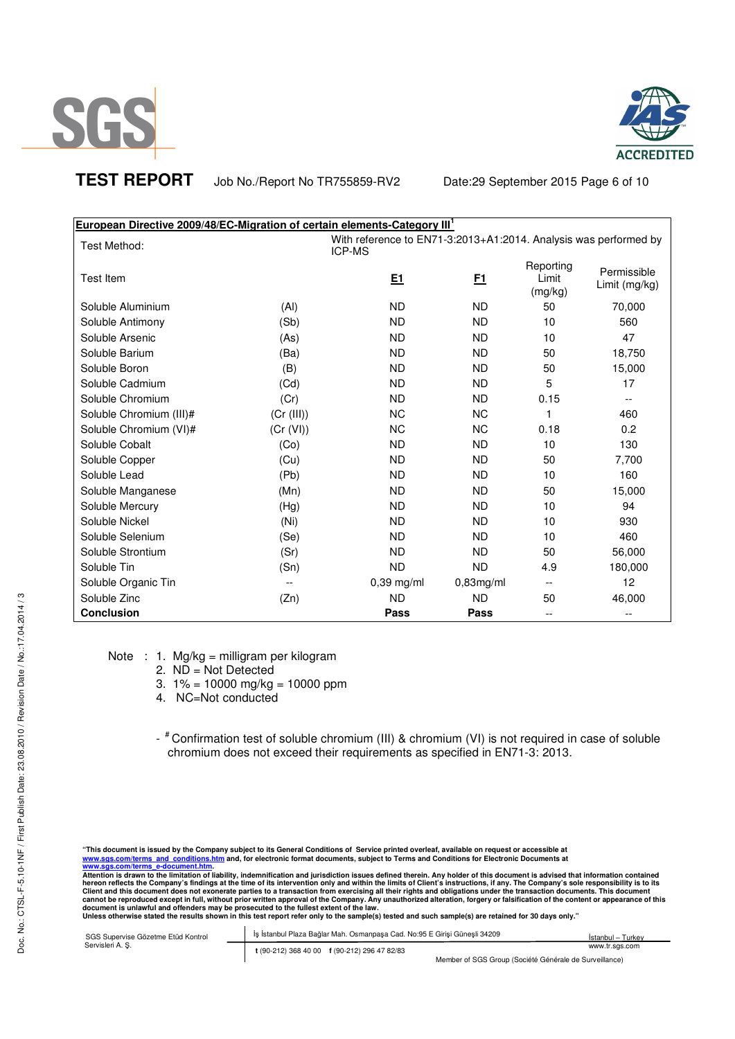



**TEST REPORT** Job No./Report No TR755859-RV2 Date:29 September 2015 Page 6 of 10

| <b>European Directive 2009/48/EC-Migration of certain elements-Category III<sup>1</sup></b> |            |                                                                                   |              |                               |                              |  |
|---------------------------------------------------------------------------------------------|------------|-----------------------------------------------------------------------------------|--------------|-------------------------------|------------------------------|--|
| Test Method:                                                                                |            | With reference to EN71-3:2013+A1:2014. Analysis was performed by<br><b>ICP-MS</b> |              |                               |                              |  |
| <b>Test Item</b>                                                                            |            | <u>E1</u>                                                                         | E1           | Reporting<br>Limit<br>(mg/kg) | Permissible<br>Limit (mg/kg) |  |
| Soluble Aluminium                                                                           | (AI)       | <b>ND</b>                                                                         | ND.          | 50                            | 70,000                       |  |
| Soluble Antimony                                                                            | (Sb)       | <b>ND</b>                                                                         | <b>ND</b>    | 10                            | 560                          |  |
| Soluble Arsenic                                                                             | (As)       | <b>ND</b>                                                                         | <b>ND</b>    | 10                            | 47                           |  |
| Soluble Barium                                                                              | (Ba)       | <b>ND</b>                                                                         | <b>ND</b>    | 50                            | 18,750                       |  |
| Soluble Boron                                                                               | (B)        | <b>ND</b>                                                                         | <b>ND</b>    | 50                            | 15,000                       |  |
| Soluble Cadmium                                                                             | (Cd)       | <b>ND</b>                                                                         | <b>ND</b>    | 5                             | 17                           |  |
| Soluble Chromium                                                                            | (Cr)       | <b>ND</b>                                                                         | <b>ND</b>    | 0.15                          | $-$                          |  |
| Soluble Chromium (III)#                                                                     | (Cr (III)) | <b>NC</b>                                                                         | <b>NC</b>    | 1                             | 460                          |  |
| Soluble Chromium (VI)#                                                                      | (Cr (VI))  | <b>NC</b>                                                                         | <b>NC</b>    | 0.18                          | 0.2                          |  |
| Soluble Cobalt                                                                              | (Co)       | <b>ND</b>                                                                         | <b>ND</b>    | 10                            | 130                          |  |
| Soluble Copper                                                                              | (Cu)       | <b>ND</b>                                                                         | <b>ND</b>    | 50                            | 7,700                        |  |
| Soluble Lead                                                                                | (Pb)       | <b>ND</b>                                                                         | <b>ND</b>    | 10                            | 160                          |  |
| Soluble Manganese                                                                           | (Mn)       | <b>ND</b>                                                                         | <b>ND</b>    | 50                            | 15,000                       |  |
| Soluble Mercury                                                                             | (Hg)       | <b>ND</b>                                                                         | <b>ND</b>    | 10                            | 94                           |  |
| Soluble Nickel                                                                              | (Ni)       | <b>ND</b>                                                                         | <b>ND</b>    | 10                            | 930                          |  |
| Soluble Selenium                                                                            | (Se)       | <b>ND</b>                                                                         | <b>ND</b>    | 10                            | 460                          |  |
| Soluble Strontium                                                                           | (Sr)       | <b>ND</b>                                                                         | <b>ND</b>    | 50                            | 56,000                       |  |
| Soluble Tin                                                                                 | (Sn)       | <b>ND</b>                                                                         | <b>ND</b>    | 4.9                           | 180,000                      |  |
| Soluble Organic Tin                                                                         |            | $0,39$ mg/ml                                                                      | $0,83$ mg/ml | $-$                           | 12                           |  |
| Soluble Zinc                                                                                | (Zn)       | <b>ND</b>                                                                         | <b>ND</b>    | 50                            | 46,000                       |  |
| <b>Conclusion</b>                                                                           |            | Pass                                                                              | Pass         | $\overline{\phantom{m}}$      | $-$                          |  |

Note : 1. Mg/kg = milligram per kilogram

- 2. ND = Not Detected
- 3.  $1\% = 10000$  mg/kg = 10000 ppm
- 4. NC=Not conducted
- <sup>#</sup> Confirmation test of soluble chromium (III) & chromium (VI) is not required in case of soluble chromium does not exceed their requirements as specified in EN71-3: 2013.

| SGS Supervise Gözetme Etüd Kontrol | İş İstanbul Plaza Bağlar Mah. Osmanpaşa Cad. No:95 E Girisi Günesli 34209 | Istanbul - Turkey                                      |  |
|------------------------------------|---------------------------------------------------------------------------|--------------------------------------------------------|--|
| Servisleri A. S.                   | t (90-212) 368 40 00 f (90-212) 296 47 82/83                              | www.tr.sas.com                                         |  |
|                                    |                                                                           | Member of SGS Group (Société Générale de Surveillance) |  |

<sup>&</sup>quot;This document is issued by the Company subject to its General Conditions of Service printed overleaf, available on request or accessible at<br><u>www.sgs.com/terms and conditions.htm</u> and, for electronic format documents, s

Attention is drawn to the limitation of liability, indemnification and jurisdiction issues defined therein. Any holder of this document is advised that information contained<br>hereon reflects the Company's findings at the ti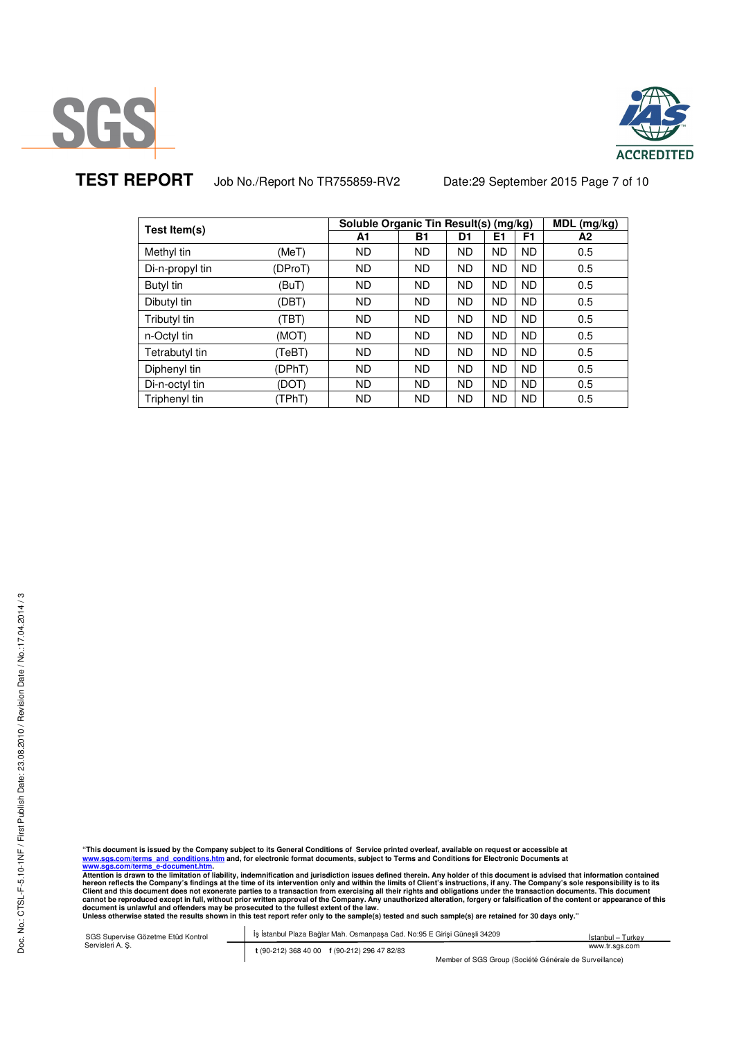



**TEST REPORT** Job No./Report No TR755859-RV2 Date:29 September 2015 Page 7 of 10

| Test Item(s)    |         | Soluble Organic Tin Result(s) (mg/kg) |     |    |           | MDL (mg/kg) |     |
|-----------------|---------|---------------------------------------|-----|----|-----------|-------------|-----|
|                 |         | A1                                    | B1  | D1 | Ε1        | F1          | A2  |
| Methyl tin      | (MeT)   | ND.                                   | ND. | ND | <b>ND</b> | <b>ND</b>   | 0.5 |
| Di-n-propyl tin | (DProT) | ND.                                   | ND. | ND | <b>ND</b> | <b>ND</b>   | 0.5 |
| Butyl tin       | (BuT)   | ND.                                   | ND. | ND | <b>ND</b> | <b>ND</b>   | 0.5 |
| Dibutyl tin     | (DBT)   | ND.                                   | ND. | ND | <b>ND</b> | <b>ND</b>   | 0.5 |
| Tributyl tin    | (TBT)   | ND.                                   | ND. | ND | <b>ND</b> | <b>ND</b>   | 0.5 |
| n-Octyl tin     | (MOT)   | ND.                                   | ND. | ND | <b>ND</b> | <b>ND</b>   | 0.5 |
| Tetrabutyl tin  | (TeBT)  | ND.                                   | ND. | ND | <b>ND</b> | <b>ND</b>   | 0.5 |
| Diphenyl tin    | (DPhT)  | ND.                                   | ND. | ND | <b>ND</b> | <b>ND</b>   | 0.5 |
| Di-n-octyl tin  | (DOT)   | ND.                                   | ND. | ND | <b>ND</b> | <b>ND</b>   | 0.5 |
| Triphenyl tin   | (TPhT)  | ND.                                   | ND. | ND | <b>ND</b> | <b>ND</b>   | 0.5 |

"This document is issued by the Company subject to its General Conditions of Service printed overleaf, available on request or accessible at<br><u>www.sgs.com/terms and conditions.htm</u> and, for electronic format documents, s

Attention is drawn to the limitation of liability, indemnification and jurisdiction issues defined therein. Any holder of this document is advised that information contained<br>hereon reflects the Company's findings at the ti

SGS Supervise Gözetme Etüd Kontrol Servisleri A. Ş. İş İstanbul Plaza Bağlar Mah. Osmanpaşa Cad. No:95 E Girişi Güneşli 34209 **t** (90-212) 368 40 00 **f** (90-212) 296 47 82/83 İstanbul – Turkey www.tr.sgs.com

Member of SGS Group (Société Générale de Surveillance)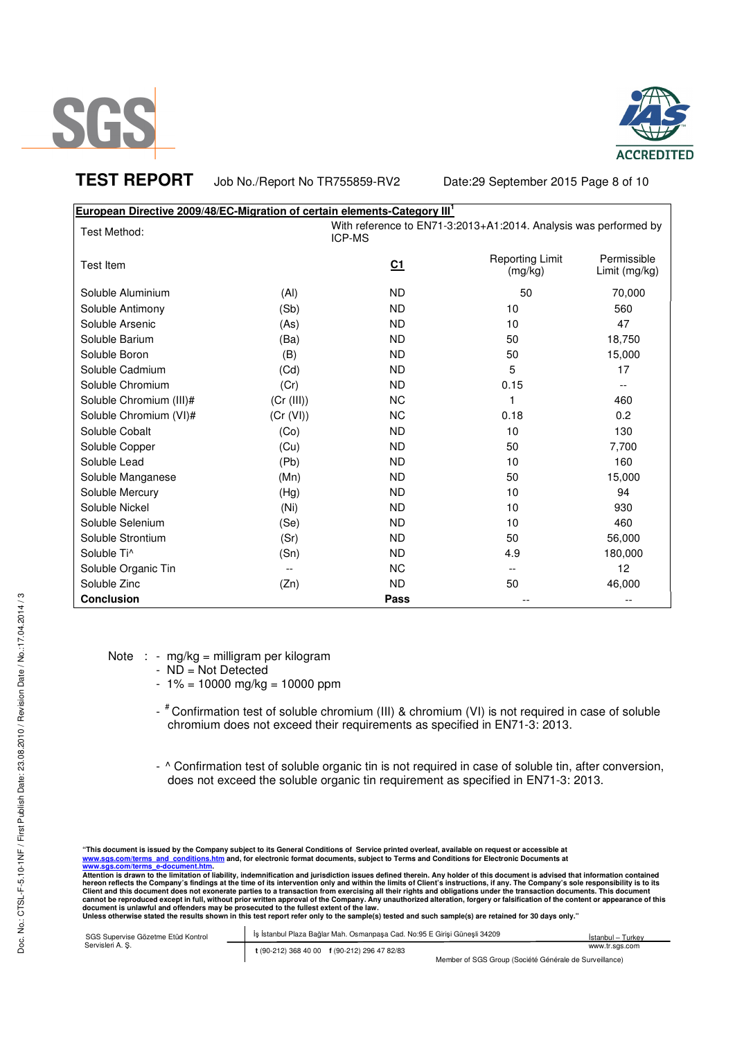



**TEST REPORT** Job No./Report No TR755859-RV2 Date:29 September 2015 Page 8 of 10

| European Directive 2009/48/EC-Migration of certain elements-Category III <sup>1</sup> |            |                                                                                   |                                   |                              |
|---------------------------------------------------------------------------------------|------------|-----------------------------------------------------------------------------------|-----------------------------------|------------------------------|
| Test Method:                                                                          |            | With reference to EN71-3:2013+A1:2014. Analysis was performed by<br><b>ICP-MS</b> |                                   |                              |
| <b>Test Item</b>                                                                      |            | C <sub>1</sub>                                                                    | <b>Reporting Limit</b><br>(mg/kg) | Permissible<br>Limit (mg/kg) |
| Soluble Aluminium                                                                     | (AI)       | <b>ND</b>                                                                         | 50                                | 70,000                       |
| Soluble Antimony                                                                      | (Sb)       | <b>ND</b>                                                                         | 10                                | 560                          |
| Soluble Arsenic                                                                       | (As)       | <b>ND</b>                                                                         | 10                                | 47                           |
| Soluble Barium                                                                        | (Ba)       | <b>ND</b>                                                                         | 50                                | 18,750                       |
| Soluble Boron                                                                         | (B)        | <b>ND</b>                                                                         | 50                                | 15,000                       |
| Soluble Cadmium                                                                       | (Cd)       | <b>ND</b>                                                                         | 5                                 | 17                           |
| Soluble Chromium                                                                      | (Cr)       | <b>ND</b>                                                                         | 0.15                              | $- -$                        |
| Soluble Chromium (III)#                                                               | (Cr (III)) | <b>NC</b>                                                                         | 1                                 | 460                          |
| Soluble Chromium (VI)#                                                                | (Cr (VI))  | <b>NC</b>                                                                         | 0.18                              | 0.2                          |
| Soluble Cobalt                                                                        | (Co)       | <b>ND</b>                                                                         | 10                                | 130                          |
| Soluble Copper                                                                        | (Cu)       | <b>ND</b>                                                                         | 50                                | 7,700                        |
| Soluble Lead                                                                          | (Pb)       | <b>ND</b>                                                                         | 10                                | 160                          |
| Soluble Manganese                                                                     | (Mn)       | <b>ND</b>                                                                         | 50                                | 15,000                       |
| Soluble Mercury                                                                       | (Hg)       | <b>ND</b>                                                                         | 10                                | 94                           |
| Soluble Nickel                                                                        | (Ni)       | <b>ND</b>                                                                         | 10                                | 930                          |
| Soluble Selenium                                                                      | (Se)       | <b>ND</b>                                                                         | 10                                | 460                          |
| Soluble Strontium                                                                     | (Sr)       | <b>ND</b>                                                                         | 50                                | 56,000                       |
| Soluble Ti <sup>^</sup>                                                               | (Sn)       | <b>ND</b>                                                                         | 4.9                               | 180,000                      |
| Soluble Organic Tin                                                                   |            | <b>NC</b>                                                                         |                                   | 12                           |
| Soluble Zinc                                                                          | (Zn)       | <b>ND</b>                                                                         | 50                                | 46,000                       |
| <b>Conclusion</b>                                                                     |            | Pass                                                                              |                                   |                              |

Note : - mg/kg = milligram per kilogram

- ND = Not Detected
- $1\% = 10000$  mg/kg = 10000 ppm
- <sup>#</sup> Confirmation test of soluble chromium (III) & chromium (VI) is not required in case of soluble chromium does not exceed their requirements as specified in EN71-3: 2013.
- ^ Confirmation test of soluble organic tin is not required in case of soluble tin, after conversion, does not exceed the soluble organic tin requirement as specified in EN71-3: 2013.

"This document is issued by the Company subject to its General Conditions of Service printed overleaf, available on request or accessible at<br><u>www.sgs.com/terms and conditions.htm</u> and, for electronic format documents, s

Attention is drawn to the limitation of liability, indemnification and jurisdiction issues defined therein. Any holder of this document is advised that information contained<br>hereon reflects the Company's findings at the ti Client and this document does not exonerate parties to a transaction from exercising all their rights and obligations under the transaction documents. This document<br>cannot be reproduced except in full, without prior writte

| SGS Supervise Gözetme Etüd Kontrol | İş İstanbul Plaza Bağlar Mah. Osmanpaşa Cad. No:95 E Girişi Güneşli 34209 | İstanbul - Turkey                                      |
|------------------------------------|---------------------------------------------------------------------------|--------------------------------------------------------|
| Servisleri A. S.                   | t (90-212) 368 40 00 f (90-212) 296 47 82/83                              | www.tr.sas.com                                         |
|                                    |                                                                           | Member of SGS Group (Société Générale de Surveillance) |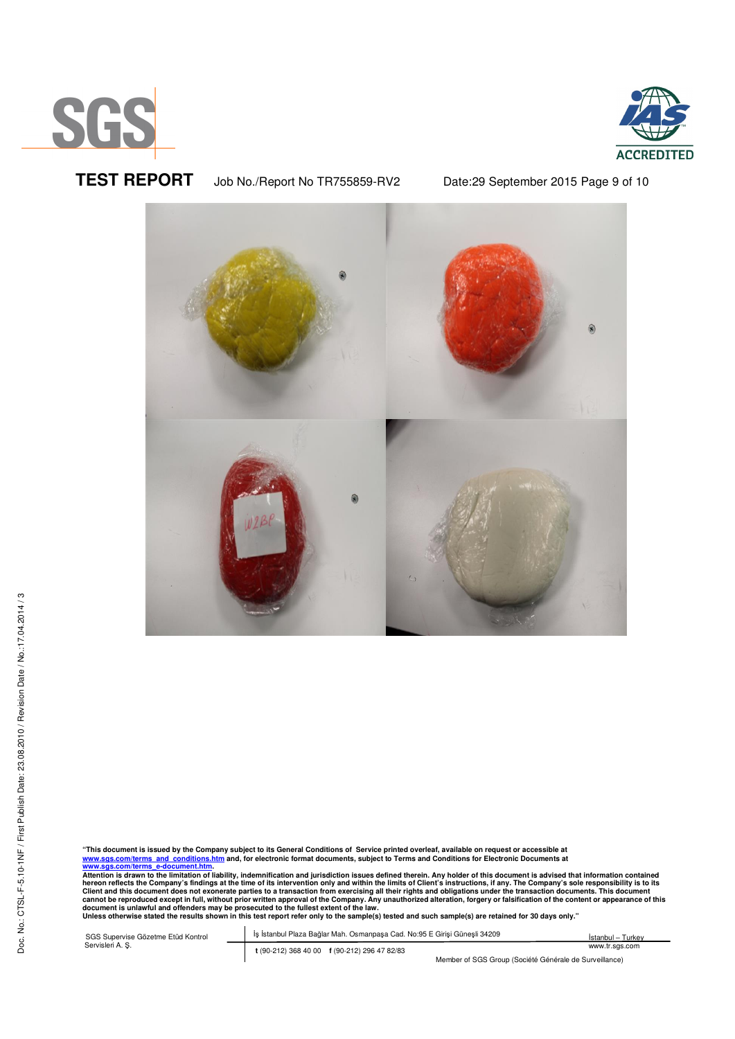



**TEST REPORT** Job No./Report No TR755859-RV2 Date:29 September 2015 Page 9 of 10



"This document is issued by the Company subject to its General Conditions of Service printed overleaf, available on request or accessible at<br><u>www.sgs.com/terms\_and\_conditions.htm</u> and, for electronic format documents, subj

www.sgs.com/terms\_e-document.htm.<br>Attention is drawn to the limitation of liability, indemnification and jurisdiction issues defined therein. Any holder of this document is advised that information contained<br>Attention is d

SGS Supervise Gözetme Etüd Kontrol Servisleri A. Ş. İş İstanbul Plaza Bağlar Mah. Osmanpaşa Cad. No:95 E Girişi Güneşli 34209 **t** (90-212) 368 40 00 **f** (90-212) 296 47 82/83 İstanbul – Turkey www.tr.sgs.com